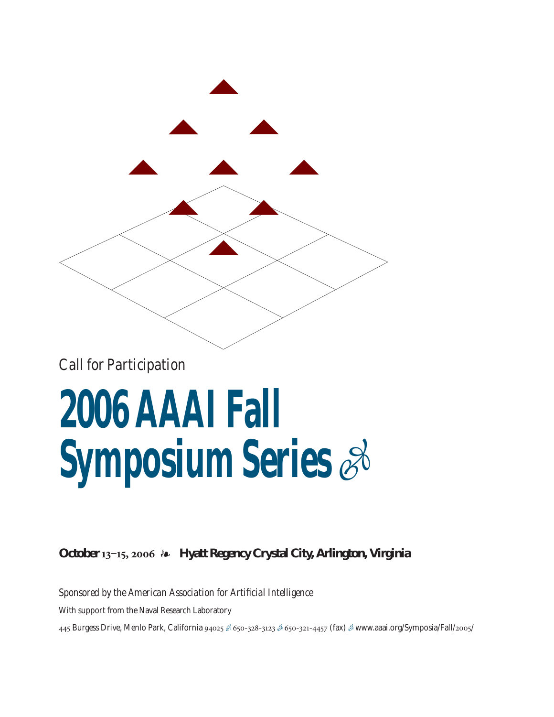

*Call for Participation*

### **2006 AAAI Fall Symposium Series** -

**October 13‒15, 2006 Hyatt Regency Crystal City, Arlington, Virginia**

*Sponsored by the American Association for Artificial Intelligence*

With support from the Naval Research Laboratory

445 Burgess Drive, Menlo Park, California 94025 & 650-328-3123 & 650-321-4457 (fax) & www.aaai.org/Symposia/Fall/2005/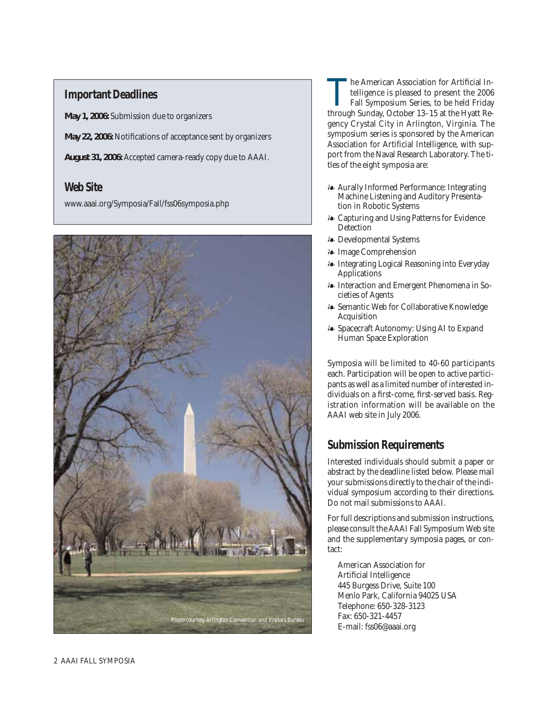### **Important Deadlines**

**May 1, 2006:** Submission due to organizers

**May 22, 2006:** Notifications of acceptance sent by organizers

**August 31, 2006:** Accepted camera-ready copy due to AAAI.

### **Web Site**

www.aaai.org/Symposia/Fall/fss06symposia.php



The American Association for Artificial Intelligence is pleased to present the 2006<br>Fall Symposium Series, to be held Friday<br>through Sunday October 13–15 at the Hvatt Retelligence is pleased to present the 2006 Fall Symposium Series, to be held Friday through Sunday, October 13–15 at the Hyatt Regency Crystal City in Arlington, Virginia. The symposium series is sponsored by the American Association for Artificial Intelligence, with support from the Naval Research Laboratory. The titles of the eight symposia are:

- Aurally Informed Performance: Integrating Machine Listening and Auditory Presentation in Robotic Systems
- Capturing and Using Patterns for Evidence **Detection**
- Developmental Systems
- Image Comprehension
- Integrating Logical Reasoning into Everyday **Applications**
- Interaction and Emergent Phenomena in Societies of Agents
- Semantic Web for Collaborative Knowledge Acquisition
- Spacecraft Autonomy: Using AI to Expand Human Space Exploration

Symposia will be limited to 40-60 participants each. Participation will be open to active participants as well as a limited number of interested individuals on a first-come, first-served basis. Registration information will be available on the AAAI web site in July 2006.

### **Submission Requirements**

Interested individuals should submit a paper or abstract by the deadline listed below. Please mail your submissions directly to the chair of the individual symposium according to their directions. Do not mail submissions to AAAI.

For full descriptions and submission instructions, please consult the AAAI Fall Symposium Web site and the supplementary symposia pages, or contact:

American Association for Artificial Intelligence 445 Burgess Drive, Suite 100 Menlo Park, California 94025 USA Telephone: 650-328-3123 Fax: 650-321-4457 E-mail: fss06@aaai.org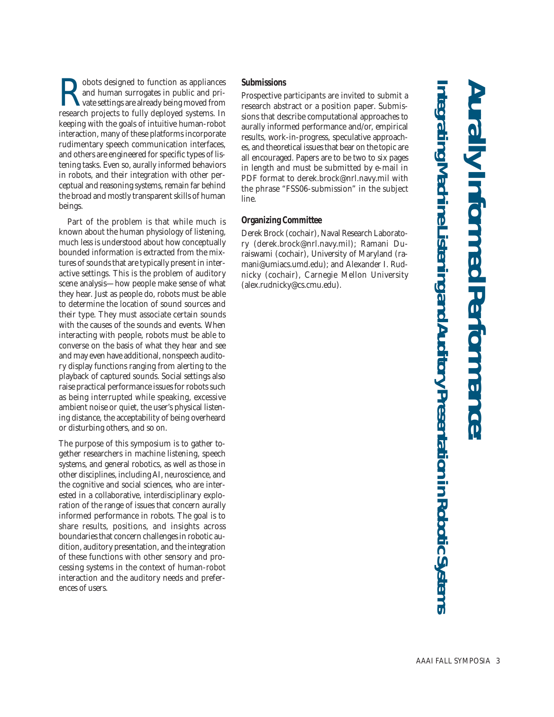$\noindent\begin{tabular}{|l|l|} \hline \textbf{c} & \textbf{obots designed to function as appliances} \\ \hline \textbf{and human surrogates in public and private settings are already being moved from research projects to fully deployed systems. In \textbf{d} & \textbf{p} & \textbf{p} & \textbf{p} \\ \hline \textbf{d} & \textbf{p} & \textbf{p} & \textbf{p} & \textbf{p} & \textbf{p} \\ \hline \textbf{d} & \textbf{p} & \textbf{p} & \textbf{p} & \textbf{p} & \textbf{p} & \textbf{p} & \textbf{p} \\ \hline \textbf{d} & \textbf{p} & \textbf{$ and human surrogates in public and private settings are already being moved from research projects to fully deployed systems. In keeping with the goals of intuitive human-robot interaction, many of these platforms incorporate rudimentary speech communication interfaces, and others are engineered for specific types of listening tasks. Even so, aurally informed behaviors in robots, and their integration with other perceptual and reasoning systems, remain far behind the broad and mostly transparent skills of human beings.

Part of the problem is that while much is known about the human physiology of listening, much less is understood about how conceptually bounded information is extracted from the mixtures of sounds that are typically present in interactive settings. This is the problem of auditory scene analysis—how people make sense of what they hear. Just as people do, robots must be able to determine the location of sound sources and their type. They must associate certain sounds with the causes of the sounds and events. When interacting with people, robots must be able to converse on the basis of what they hear and see and may even have additional, nonspeech auditory display functions ranging from alerting to the playback of captured sounds. Social settings also raise practical performance issues for robots such as being interrupted while speaking, excessive ambient noise or quiet, the user's physical listening distance, the acceptability of being overheard or disturbing others, and so on.

The purpose of this symposium is to gather together researchers in machine listening, speech systems, and general robotics, as well as those in other disciplines, including AI, neuroscience, and the cognitive and social sciences, who are interested in a collaborative, interdisciplinary exploration of the range of issues that concern aurally informed performance in robots. The goal is to share results, positions, and insights across boundaries that concern challenges in robotic audition, auditory presentation, and the integration of these functions with other sensory and processing systems in the context of human-robot interaction and the auditory needs and preferences of users.

### **Submissions**

Prospective participants are invited to submit a research abstract or a position paper. Submissions that describe computational approaches to aurally informed performance and/or, empirical results, work-in-progress, speculative approaches, and theoretical issues that bear on the topic are all encouraged. Papers are to be two to six pages in length and must be submitted by e-mail in PDF format to derek.brock@nrl.navy.mil with the phrase "FSS06-submission" in the subject line.

### **Organizing Committee**

Derek Brock (cochair), Naval Research Laboratory (derek.brock@nrl.navy.mil); Ramani Duraiswami (cochair), University of Maryland (ramani@umiacs.umd.edu); and Alexander I. Rudnicky (cochair), Carnegie Mellon University (alex.rudnicky@cs.cmu.edu).

# **Aurally Informed Performance: Integrating Machine Listening and Audito** rating Machine Listening and Auditory Presentation in Robotic Systems **ry Presentation in Robotic Systems**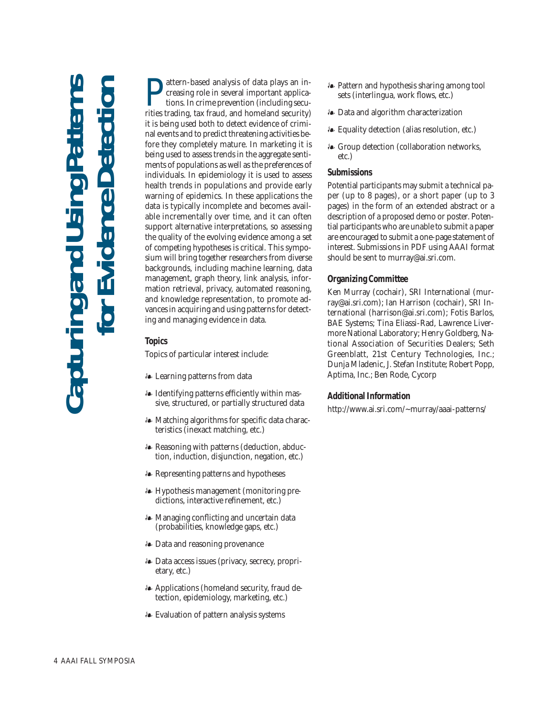## **Capturing and Using Patterns for Evidence Detection Using Pate**<br> **Pate** Japturing and

**Pattern-based analysis of data plays an in-**<br>creasing role in several important applications. In crime prevention (including securities trading tax fraud, and homeland security) creasing role in several important applications. In crime prevention (including securities trading, tax fraud, and homeland security) it is being used both to detect evidence of criminal events and to predict threatening activities before they completely mature. In marketing it is being used to assess trends in the aggregate sentiments of populations as well as the preferences of individuals. In epidemiology it is used to assess health trends in populations and provide early warning of epidemics. In these applications the data is typically incomplete and becomes available incrementally over time, and it can often support alternative interpretations, so assessing the quality of the evolving evidence among a set of competing hypotheses is critical. This symposium will bring together researchers from diverse backgrounds, including machine learning, data management, graph theory, link analysis, information retrieval, privacy, automated reasoning, and knowledge representation, to promote advances in acquiring and using patterns for detecting and managing evidence in data.

### **Topics**

Topics of particular interest include:

- Learning patterns from data
- Identifying patterns efficiently within massive, structured, or partially structured data
- Matching algorithms for specific data characteristics (inexact matching, etc.)
- Reasoning with patterns (deduction, abduction, induction, disjunction, negation, etc.)
- Representing patterns and hypotheses
- Hypothesis management (monitoring predictions, interactive refinement, etc.)
- Managing conflicting and uncertain data (probabilities, knowledge gaps, etc.)
- Data and reasoning provenance
- Data access issues (privacy, secrecy, proprietary, etc.)
- Applications (homeland security, fraud detection, epidemiology, marketing, etc.)
- Evaluation of pattern analysis systems
- Pattern and hypothesis sharing among tool sets (interlingua, work flows, etc.)
- Data and algorithm characterization
- Equality detection (alias resolution, etc.)
- Group detection (collaboration networks, etc.)

### **Submissions**

Potential participants may submit a technical paper (up to 8 pages), or a short paper (up to 3 pages) in the form of an extended abstract or a description of a proposed demo or poster. Potential participants who are unable to submit a paper are encouraged to submit a one-page statement of interest. Submissions in PDF using AAAI format should be sent to murray@ai.sri.com.

### **Organizing Committee**

Ken Murray (cochair), SRI International (murray@ai.sri.com); Ian Harrison (cochair), SRI International (harrison@ai.sri.com); Fotis Barlos, BAE Systems; Tina Eliassi-Rad, Lawrence Livermore National Laboratory; Henry Goldberg, National Association of Securities Dealers; Seth Greenblatt, 21st Century Technologies, Inc.; Dunja Mladenic, J. Stefan Institute; Robert Popp, Aptima, Inc.; Ben Rode, Cycorp

### **Additional Information**

http://www.ai.sri.com/~murray/aaai-patterns/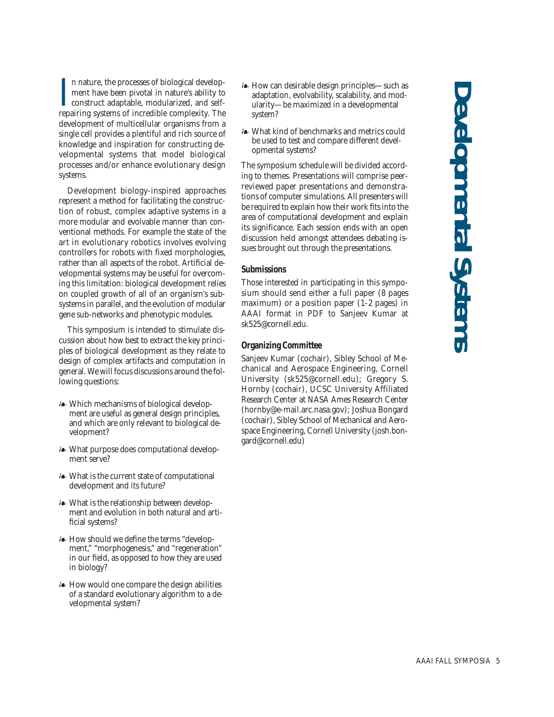**Developmental Systems** Developmental System

I n nature, the processes of biological development have been pivotal in nature's ability to construct adaptable, modularized, and selfrepairing systems of incredible complexity. The development of multicellular organisms from a single cell provides a plentiful and rich source of knowledge and inspiration for constructing developmental systems that model biological processes and/or enhance evolutionary design systems.

Development biology-inspired approaches represent a method for facilitating the construction of robust, complex adaptive systems in a more modular and evolvable manner than conventional methods. For example the state of the art in evolutionary robotics involves evolving controllers for robots with fixed morphologies, rather than all aspects of the robot. Artificial developmental systems may be useful for overcoming this limitation: biological development relies on coupled growth of all of an organism's subsystems in parallel, and the evolution of modular gene sub-networks and phenotypic modules.

This symposium is intended to stimulate discussion about how best to extract the key principles of biological development as they relate to design of complex artifacts and computation in general. We will focus discussions around the following questions:

- Which mechanisms of biological development are useful as general design principles, and which are only relevant to biological development?
- What purpose does computational development serve?
- What is the current state of computational development and its future?
- What is the relationship between development and evolution in both natural and artificial systems?
- How should we define the terms "development," "morphogenesis," and "regeneration" in our field, as opposed to how they are used in biology?
- How would one compare the design abilities of a standard evolutionary algorithm to a developmental system?
- How can desirable design principles—such as adaptation, evolvability, scalability, and modularity—be maximized in a developmental system?
- What kind of benchmarks and metrics could be used to test and compare different developmental systems?

The symposium schedule will be divided according to themes. Presentations will comprise peerreviewed paper presentations and demonstrations of computer simulations. All presenters will be required to explain how their work fits into the area of computational development and explain its significance. Each session ends with an open discussion held amongst attendees debating issues brought out through the presentations.

### **Submissions**

Those interested in participating in this symposium should send either a full paper (8 pages maximum) or a position paper (1-2 pages) in AAAI format in PDF to Sanjeev Kumar at sk525@cornell.edu.

### **Organizing Committee**

Sanjeev Kumar (cochair), Sibley School of Mechanical and Aerospace Engineering, Cornell University (sk525@cornell.edu); Gregory S. Hornby (cochair), UCSC University Affiliated Research Center at NASA Ames Research Center (hornby@e-mail.arc.nasa.gov); Joshua Bongard (cochair), Sibley School of Mechanical and Aerospace Engineering, Cornell University (josh.bongard@cornell.edu)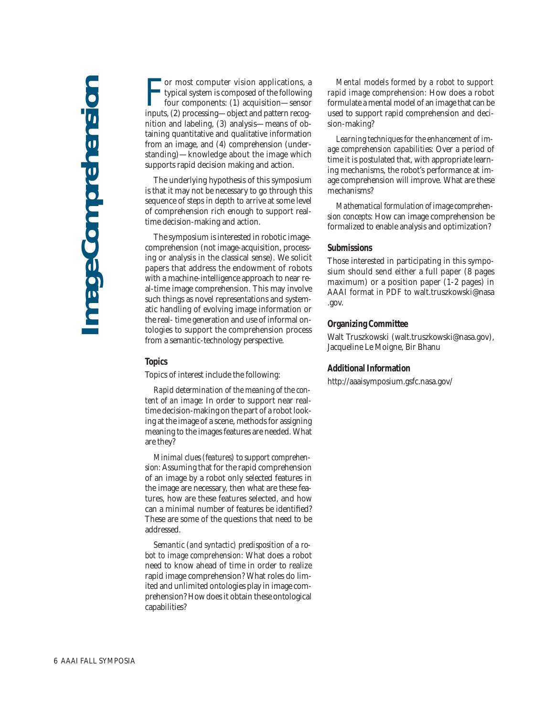**FR** or most computer vision applications, a typical system is composed of the following four components: (1) acquisition—sensor inputs, (2) processing—object and pattern recog-**Tor most computer vision applications, a** typical system is composed of the following four components: (1) acquisition—sensor nition and labeling, (3) analysis—means of obtaining quantitative and qualitative information from an image, and (4) comprehension (understanding)—knowledge about the image which supports rapid decision making and action.

The underlying hypothesis of this symposium is that it may not be necessary to go through this sequence of steps in depth to arrive at some level of comprehension rich enough to support realtime decision-making and action.

The symposium is interested in robotic imagecomprehension (not image-acquisition, processing or analysis in the classical sense). We solicit papers that address the endowment of robots with a machine-intelligence approach to near real-time image comprehension. This may involve such things as novel representations and systematic handling of evolving image information or the real- time generation and use of informal ontologies to support the comprehension process from a semantic-technology perspective.

### **Topics**

Topics of interest include the following:

*Rapid determination of the meaning of the content of an image:* In order to support near realtime decision-making on the part of a robot looking at the image of a scene, methods for assigning meaning to the images features are needed. What are they?

*Minimal clues (features) to support comprehension:* Assuming that for the rapid comprehension of an image by a robot only selected features in the image are necessary, then what are these features, how are these features selected, and how can a minimal number of features be identified? These are some of the questions that need to be addressed.

*Semantic (and syntactic) predisposition of a robot to image comprehension:* What does a robot need to know ahead of time in order to realize rapid image comprehension? What roles do limited and unlimited ontologies play in image comprehension? How does it obtain these ontological capabilities?

*Mental models formed by a robot to support rapid image comprehension:* How does a robot formulate a mental model of an image that can be used to support rapid comprehension and decision-making?

*Learning techniques for the enhancement of image comprehension capabilities:* Over a period of time it is postulated that, with appropriate learning mechanisms, the robot's performance at image comprehension will improve. What are these mechanisms?

*Mathematical formulation of image comprehension concepts:* How can image comprehension be formalized to enable analysis and optimization?

### **Submissions**

Those interested in participating in this symposium should send either a full paper (8 pages maximum) or a position paper (1-2 pages) in AAAI format in PDF to walt.truszkowski@nasa .gov.

### **Organizing Committee**

Walt Truszkowski (walt.truszkowski@nasa.gov), Jacqueline Le Moigne, Bir Bhanu

### **Additional Information**

http://aaaisymposium.gsfc.nasa.gov/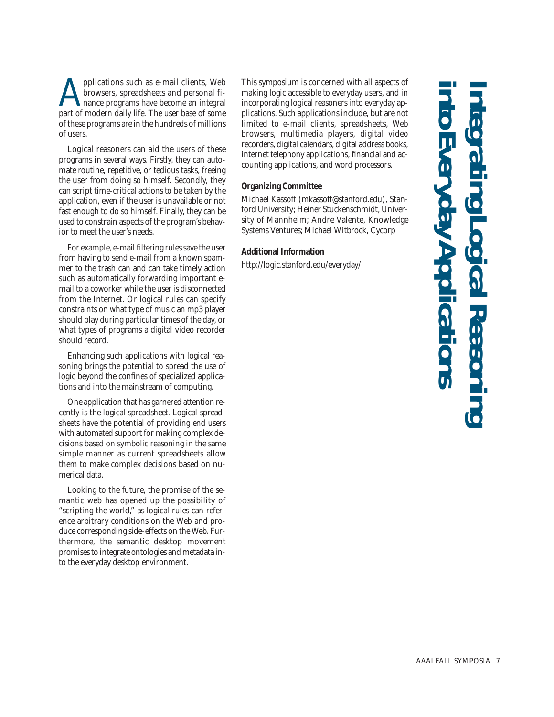pplications such as e-mail clients, Web browsers, spreadsheets and personal finance programs have become an integral part of modern daily life. The user base of some of these programs are in the hundreds of millions of users.

Logical reasoners can aid the users of these programs in several ways. Firstly, they can automate routine, repetitive, or tedious tasks, freeing the user from doing so himself. Secondly, they can script time-critical actions to be taken by the application, even if the user is unavailable or not fast enough to do so himself. Finally, they can be used to constrain aspects of the program's behavior to meet the user's needs.

For example, e-mail filtering rules save the user from having to send e-mail from a known spammer to the trash can and can take timely action such as automatically forwarding important email to a coworker while the user is disconnected from the Internet. Or logical rules can specify constraints on what type of music an mp3 player should play during particular times of the day, or what types of programs a digital video recorder should record.

Enhancing such applications with logical reasoning brings the potential to spread the use of logic beyond the confines of specialized applications and into the mainstream of computing.

One application that has garnered attention recently is the logical spreadsheet. Logical spreadsheets have the potential of providing end users with automated support for making complex decisions based on symbolic reasoning in the same simple manner as current spreadsheets allow them to make complex decisions based on numerical data.

Looking to the future, the promise of the semantic web has opened up the possibility of "scripting the world," as logical rules can reference arbitrary conditions on the Web and produce corresponding side-effects on the Web. Furthermore, the semantic desktop movement promises to integrate ontologies and metadata into the everyday desktop environment.

This symposium is concerned with all aspects of making logic accessible to everyday users, and in incorporating logical reasoners into everyday applications. Such applications include, but are not limited to e-mail clients, spreadsheets, Web browsers, multimedia players, digital video recorders, digital calendars, digital address books, internet telephony applications, financial and accounting applications, and word processors.

### **Organizing Committee**

Michael Kassoff (mkassoff@stanford.edu), Stanford University; Heiner Stuckenschmidt, University of Mannheim; Andre Valente, Knowledge Systems Ventures; Michael Witbrock, Cycorp

### **Additional Information**

http://logic.stanford.edu/everyday/

# **into Everyday Applications Integrating Logical Reasoning**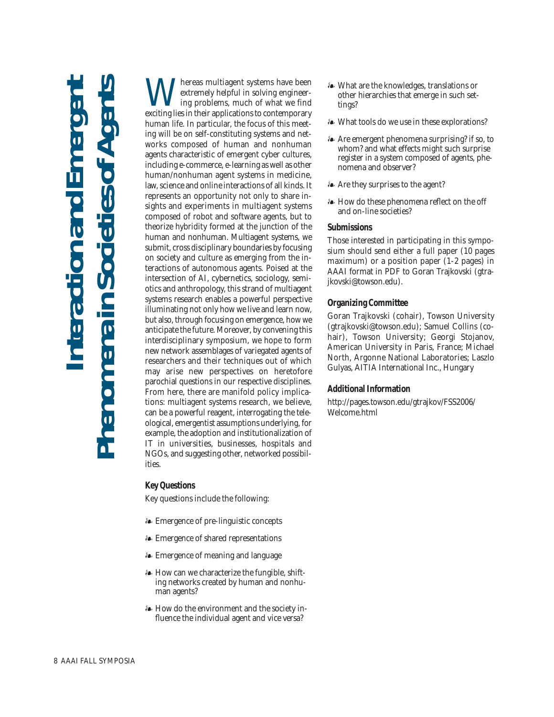## **Interaction and Emergent Phenomena in Societies of Agents nteraction and Emerg<br>ena in Societies of Age** Phenomena

**W**extremely helpful in solving engineering problems, much of what we find<br>exciting lies in their annitations to contemporary extremely helpful in solving engineering problems, much of what we find exciting lies in their applications to contemporary human life. In particular, the focus of this meeting will be on self-constituting systems and networks composed of human and nonhuman agents characteristic of emergent cyber cultures, including e-commerce, e-learning as well as other human/nonhuman agent systems in medicine, law, science and online interactions of all kinds. It represents an opportunity not only to share insights and experiments in multiagent systems composed of robot and software agents, but to theorize hybridity formed at the junction of the human and nonhuman. Multiagent systems, we submit, cross disciplinary boundaries by focusing on society and culture as emerging from the interactions of autonomous agents. Poised at the intersection of AI, cybernetics, sociology, semiotics and anthropology, this strand of multiagent systems research enables a powerful perspective illuminating not only how we live and learn now, but also, through focusing on emergence, how we anticipate the future. Moreover, by convening this interdisciplinary symposium, we hope to form new network assemblages of variegated agents of researchers and their techniques out of which may arise new perspectives on heretofore parochial questions in our respective disciplines. From here, there are manifold policy implications: multiagent systems research, we believe, can be a powerful reagent, interrogating the teleological, emergentist assumptions underlying, for example, the adoption and institutionalization of IT in universities, businesses, hospitals and NGOs, and suggesting other, networked possibilities.

### **Key Questions**

Key questions include the following:

- Emergence of pre-linguistic concepts
- Emergence of shared representations
- Emergence of meaning and language
- How can we characterize the fungible, shifting networks created by human and nonhuman agents?
- How do the environment and the society influence the individual agent and vice versa?
- What are the knowledges, translations or other hierarchies that emerge in such settings?
- What tools do we use in these explorations?
- Are emergent phenomena surprising? if so, to whom? and what effects might such surprise register in a system composed of agents, phenomena and observer?
- Are they surprises to the agent?
- How do these phenomena reflect on the off and on-line societies?

### **Submissions**

Those interested in participating in this symposium should send either a full paper (10 pages maximum) or a position paper (1-2 pages) in AAAI format in PDF to Goran Trajkovski (gtrajkovski@towson.edu).

### **Organizing Committee**

Goran Trajkovski (cohair), Towson University (gtrajkovski@towson.edu); Samuel Collins (cohair), Towson University; Georgi Stojanov, American University in Paris, France; Michael North, Argonne National Laboratories; Laszlo Gulyas, AITIA International Inc., Hungary

### **Additional Information**

http://pages.towson.edu/gtrajkov/FSS2006/ Welcome.html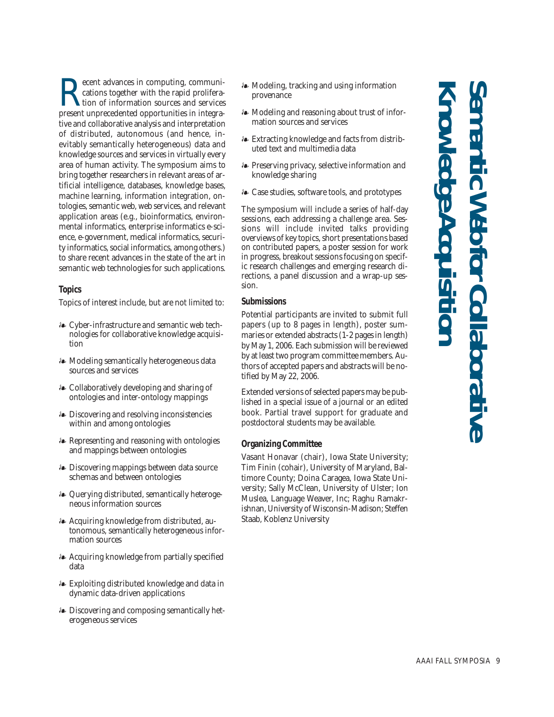**Knowledge Acquisition**

**Recent advances in computing, communications together with the rapid proliferation of information sources and services**<br>present unprecedented opportunities in integracations together with the rapid proliferation of information sources and services present unprecedented opportunities in integrative and collaborative analysis and interpretation of distributed, autonomous (and hence, inevitably semantically heterogeneous) data and knowledge sources and services in virtually every area of human activity. The symposium aims to bring together researchers in relevant areas of artificial intelligence, databases, knowledge bases, machine learning, information integration, ontologies, semantic web, web services, and relevant application areas (e.g., bioinformatics, environmental informatics, enterprise informatics e-science, e-government, medical informatics, security informatics, social informatics, among others.) to share recent advances in the state of the art in semantic web technologies for such applications.

### **Topics**

Topics of interest include, but are not limited to:

- Cyber-infrastructure and semantic web technologies for collaborative knowledge acquisition
- Modeling semantically heterogeneous data sources and services
- Collaboratively developing and sharing of ontologies and inter-ontology mappings
- Discovering and resolving inconsistencies within and among ontologies
- Representing and reasoning with ontologies and mappings between ontologies
- Discovering mappings between data source schemas and between ontologies
- Querying distributed, semantically heterogeneous information sources
- Acquiring knowledge from distributed, autonomous, semantically heterogeneous information sources
- Acquiring knowledge from partially specified data
- Exploiting distributed knowledge and data in dynamic data-driven applications
- Discovering and composing semantically heterogeneous services
- Modeling, tracking and using information provenance
- Modeling and reasoning about trust of information sources and services
- Extracting knowledge and facts from distributed text and multimedia data
- Preserving privacy, selective information and knowledge sharing
- Case studies, software tools, and prototypes

The symposium will include a series of half-day sessions, each addressing a challenge area. Sessions will include invited talks providing overviews of key topics, short presentations based on contributed papers, a poster session for work in progress, breakout sessions focusing on specific research challenges and emerging research directions, a panel discussion and a wrap-up session.

### **Submissions**

Potential participants are invited to submit full papers (up to 8 pages in length), poster summaries or extended abstracts (1-2 pages in length) by May 1, 2006. Each submission will be reviewed by at least two program committee members. Authors of accepted papers and abstracts will be notified by May 22, 2006.

Extended versions of selected papers may be published in a special issue of a journal or an edited book. Partial travel support for graduate and postdoctoral students may be available.

### **Organizing Committee**

Vasant Honavar (chair), Iowa State University; Tim Finin (cohair), University of Maryland, Baltimore County; Doina Caragea, Iowa State University; Sally McClean, University of Ulster; Ion Muslea, Language Weaver, Inc; Raghu Ramakrishnan, University of Wisconsin-Madison; Steffen Staab, Koblenz University